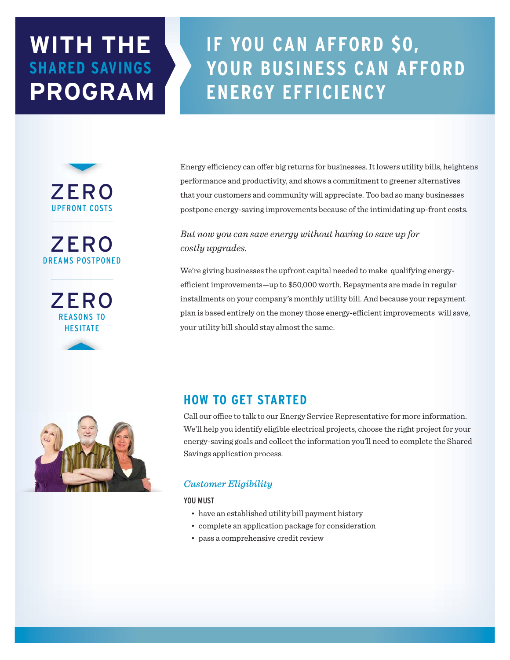# **WITH THE SHARED SAVINGS PROGRAM**

## ZERO UPFRONT COSTS

ZERO DREAMS POSTPONED

ZERO REASONS TO **HESITATE** 

# **IF YOU CAN AFFORD \$0, YOUR BUSINESS CAN AFFORD ENERGY EFFICIENCY**

Energy efficiency can offer big returns for businesses. It lowers utility bills, heightens performance and productivity, and shows a commitment to greener alternatives that your customers and community will appreciate. Too bad so many businesses postpone energy-saving improvements because of the intimidating up-front costs.

## *But now you can save energy without having to save up for costly upgrades.*

We're giving businesses the upfront capital needed to make qualifying energyefficient improvements—up to \$50,000 worth. Repayments are made in regular installments on your company's monthly utility bill. And because your repayment plan is based entirely on the money those energy-efficient improvements will save, your utility bill should stay almost the same.



## **HOW TO GET STARTED**

Call our office to talk to our Energy Service Representative for more information. We'll help you identify eligible electrical projects, choose the right project for your energy-saving goals and collect the information you'll need to complete the Shared Savings application process.

### *Customer Eligibility*

YOU MUST

- have an established utility bill payment history
- complete an application package for consideration
- pass a comprehensive credit review